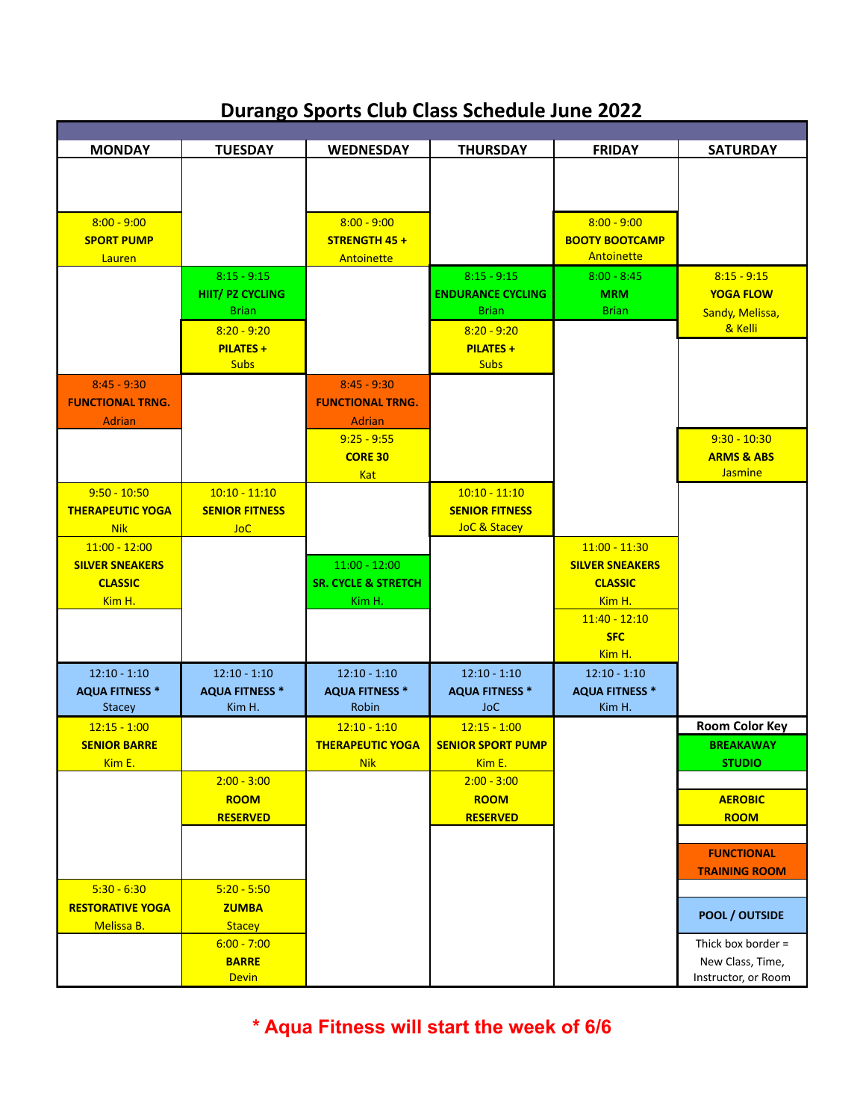## **Durango Sports Club Class Schedule June 2022**

| <b>MONDAY</b>           | <b>TUESDAY</b>          | <b>WEDNESDAY</b>               | <b>THURSDAY</b>          | <b>FRIDAY</b>          | <b>SATURDAY</b>       |
|-------------------------|-------------------------|--------------------------------|--------------------------|------------------------|-----------------------|
|                         |                         |                                |                          |                        |                       |
|                         |                         |                                |                          |                        |                       |
|                         |                         |                                |                          |                        |                       |
| $8:00 - 9:00$           |                         | $8:00 - 9:00$                  |                          | $8:00 - 9:00$          |                       |
| <b>SPORT PUMP</b>       |                         | STRENGTH 45+                   |                          | <b>BOOTY BOOTCAMP</b>  |                       |
| Lauren                  |                         | Antoinette                     |                          | Antoinette             |                       |
|                         | $8:15 - 9:15$           |                                | $8:15 - 9:15$            | $8:00 - 8:45$          | $8:15 - 9:15$         |
|                         | <b>HIIT/ PZ CYCLING</b> |                                | <b>ENDURANCE CYCLING</b> | <b>MRM</b>             | <b>YOGA FLOW</b>      |
|                         | <b>Brian</b>            |                                | <b>Brian</b>             | <b>Brian</b>           | Sandy, Melissa,       |
|                         | $8:20 - 9:20$           |                                | $8:20 - 9:20$            |                        | & Kelli               |
|                         | <b>PILATES +</b>        |                                | <b>PILATES +</b>         |                        |                       |
|                         | <b>Subs</b>             |                                | <b>Subs</b>              |                        |                       |
| $8:45 - 9:30$           |                         | $8:45 - 9:30$                  |                          |                        |                       |
| <b>FUNCTIONAL TRNG.</b> |                         | <b>FUNCTIONAL TRNG.</b>        |                          |                        |                       |
| Adrian                  |                         | <b>Adrian</b>                  |                          |                        |                       |
|                         |                         | $9:25 - 9:55$                  |                          |                        | $9:30 - 10:30$        |
|                         |                         | <b>CORE 30</b>                 |                          |                        | <b>ARMS &amp; ABS</b> |
|                         |                         | <b>Kat</b>                     |                          |                        | <b>Jasmine</b>        |
| $9:50 - 10:50$          | $10:10 - 11:10$         |                                | $10:10 - 11:10$          |                        |                       |
| <b>THERAPEUTIC YOGA</b> | <b>SENIOR FITNESS</b>   |                                | <b>SENIOR FITNESS</b>    |                        |                       |
| <b>Nik</b>              | <b>JoC</b>              |                                | <b>JoC &amp; Stacey</b>  |                        |                       |
| $11:00 - 12:00$         |                         |                                |                          | $11:00 - 11:30$        |                       |
| <b>SILVER SNEAKERS</b>  |                         | $11:00 - 12:00$                |                          | <b>SILVER SNEAKERS</b> |                       |
| <b>CLASSIC</b>          |                         | <b>SR. CYCLE &amp; STRETCH</b> |                          | <b>CLASSIC</b>         |                       |
| Kim H.                  |                         | Kim H.                         |                          | Kim H.                 |                       |
|                         |                         |                                |                          | $11:40 - 12:10$        |                       |
|                         |                         |                                |                          | <b>SFC</b>             |                       |
|                         |                         |                                |                          | Kim H.                 |                       |
|                         |                         |                                |                          |                        |                       |
| $12:10 - 1:10$          | $12:10 - 1:10$          | $12:10 - 1:10$                 | $12:10 - 1:10$           | $12:10 - 1:10$         |                       |
| <b>AQUA FITNESS *</b>   | <b>AQUA FITNESS *</b>   | <b>AQUA FITNESS *</b>          | <b>AQUA FITNESS *</b>    | <b>AQUA FITNESS *</b>  |                       |
| <b>Stacey</b>           | Kim H.                  | Robin                          | <b>JoC</b>               | Kim H.                 |                       |
| $12:15 - 1:00$          |                         | $12:10 - 1:10$                 | $12:15 - 1:00$           |                        | <b>Room Color Key</b> |
| <b>SENIOR BARRE</b>     |                         | <b>THERAPEUTIC YOGA</b>        | <b>SENIOR SPORT PUMP</b> |                        | <b>BREAKAWAY</b>      |
| Kim E.                  |                         | <mark>Nik</mark>               | Kim E.                   |                        | <b>STUDIO</b>         |
|                         | $2:00 - 3:00$           |                                | $2:00 - 3:00$            |                        |                       |
|                         | <b>ROOM</b>             |                                | <b>ROOM</b>              |                        | <b>AEROBIC</b>        |
|                         | <b>RESERVED</b>         |                                | <b>RESERVED</b>          |                        | <b>ROOM</b>           |
|                         |                         |                                |                          |                        |                       |
|                         |                         |                                |                          |                        | <b>FUNCTIONAL</b>     |
|                         |                         |                                |                          |                        | <b>TRAINING ROOM</b>  |
| $5:30 - 6:30$           | $5:20 - 5:50$           |                                |                          |                        |                       |
| <b>RESTORATIVE YOGA</b> | <b>ZUMBA</b>            |                                |                          |                        | <b>POOL / OUTSIDE</b> |
| Melissa B.              | <b>Stacey</b>           |                                |                          |                        |                       |
|                         | $6:00 - 7:00$           |                                |                          |                        | Thick box border =    |
|                         | <b>BARRE</b>            |                                |                          |                        | New Class, Time,      |
|                         | <b>Devin</b>            |                                |                          |                        | Instructor, or Room   |

**\* Aqua Fitness will start the week of 6/6**